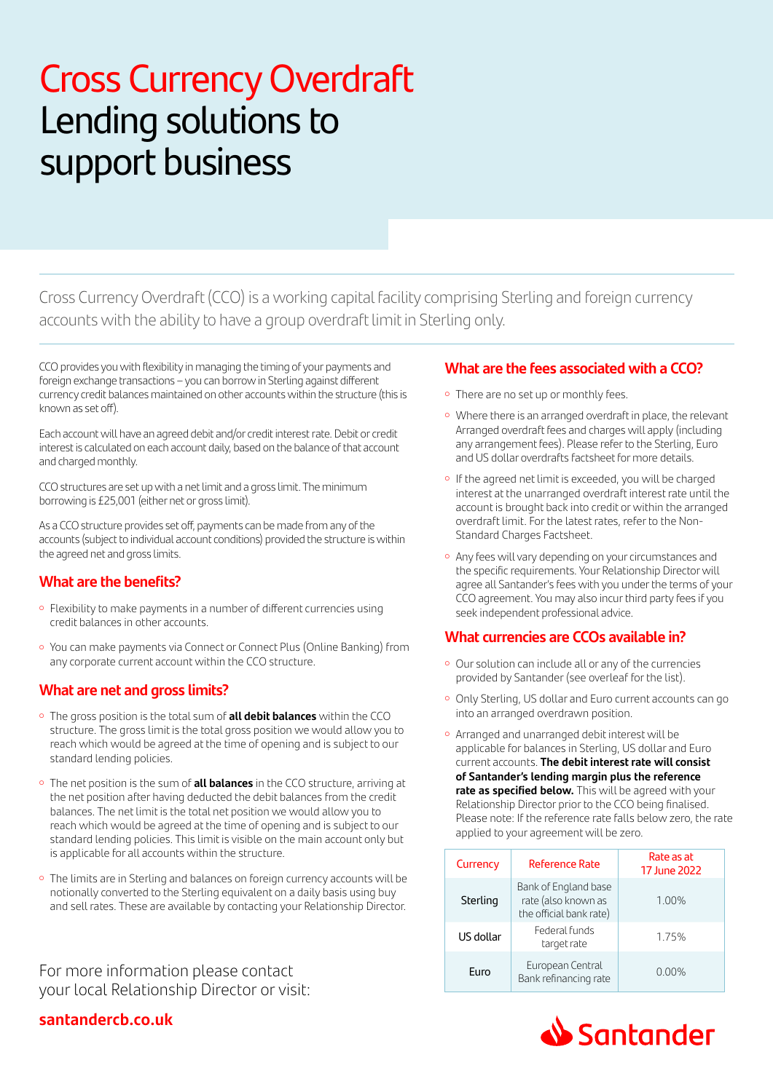# Cross Currency Overdraft Lending solutions to support business

Cross Currency Overdraft (CCO) is a working capital facility comprising Sterling and foreign currency accounts with the ability to have a group overdraft limit in Sterling only.

CCO provides you with flexibility in managing the timing of your payments and foreign exchange transactions – you can borrow in Sterling against different currency credit balances maintained on other accounts within the structure (this is known as set off).

Each account will have an agreed debit and/or credit interest rate. Debit or credit interest is calculated on each account daily, based on the balance of that account and charged monthly.

CCO structures are set up with a net limit and a gross limit. The minimum borrowing is £25,001 (either net or gross limit).

As a CCO structure provides set off, payments can be made from any of the accounts (subject to individual account conditions) provided the structure is within the agreed net and gross limits.

## **What are the benefits?**

- Flexibility to make payments in a number of different currencies using credit balances in other accounts.
- ¡ You can make payments via Connect or Connect Plus (Online Banking) from any corporate current account within the CCO structure.

## **What are net and gross limits?**

- ¡ The gross position is the total sum of **all debit balances** within the CCO structure. The gross limit is the total gross position we would allow you to reach which would be agreed at the time of opening and is subject to our standard lending policies.
- ¡ The net position is the sum of **all balances** in the CCO structure, arriving at the net position after having deducted the debit balances from the credit balances. The net limit is the total net position we would allow you to reach which would be agreed at the time of opening and is subject to our standard lending policies. This limit is visible on the main account only but is applicable for all accounts within the structure.
- The limits are in Sterling and balances on foreign currency accounts will be notionally converted to the Sterling equivalent on a daily basis using buy and sell rates. These are available by contacting your Relationship Director.

For more information please contact your local Relationship Director or visit:

## **[santandercb.co.uk](http://santandercb.co.uk)**

## **What are the fees associated with a CCO?**

- There are no set up or monthly fees.
- Where there is an arranged overdraft in place, the relevant Arranged overdraft fees and charges will apply (including any arrangement fees). Please refer to the Sterling, Euro and US dollar overdrafts factsheet for more details.
- If the agreed net limit is exceeded, you will be charged interest at the unarranged overdraft interest rate until the account is brought back into credit or within the arranged overdraft limit. For the latest rates, refer to the Non-Standard Charges Factsheet.
- Any fees will vary depending on your circumstances and the specific requirements. Your Relationship Director will agree all Santander's fees with you under the terms of your CCO agreement. You may also incur third party fees if you seek independent professional advice.

## **What currencies are CCOs available in?**

- Our solution can include all or any of the currencies provided by Santander (see overleaf for the list).
- Only Sterling, US dollar and Euro current accounts can go into an arranged overdrawn position.
- Arranged and unarranged debit interest will be applicable for balances in Sterling, US dollar and Euro current accounts. **The debit interest rate will consist of Santander's lending margin plus the reference rate as specified below.** This will be agreed with your Relationship Director prior to the CCO being finalised. Please note: If the reference rate falls below zero, the rate applied to your agreement will be zero.

| Currency  | Reference Rate                                                         | Rate as at<br><b>17 June 2022</b> |
|-----------|------------------------------------------------------------------------|-----------------------------------|
| Sterling  | Bank of England base<br>rate (also known as<br>the official bank rate) | 1.00%                             |
| US dollar | Federal funds<br>target rate                                           | 1.75%                             |
| Furo      | European Central<br>Bank refinancing rate                              | $0.00\%$                          |

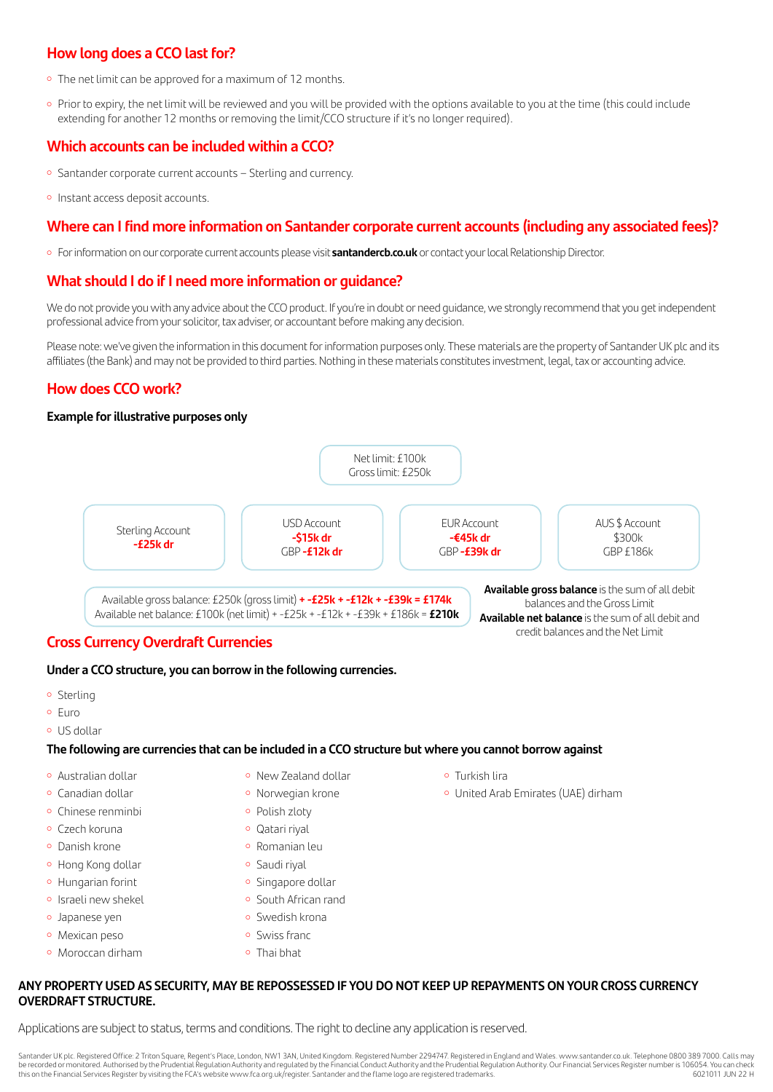## **How long does a CCO last for?**

- $\circ$  The net limit can be approved for a maximum of 12 months.
- Prior to expiry, the net limit will be reviewed and you will be provided with the options available to you at the time (this could include extending for another 12 months or removing the limit/CCO structure if it's no longer required).

## **Which accounts can be included within a CCO?**

- Santander corporate current accounts Sterling and currency.
- · Instant access deposit accounts.

## **Where can I find more information on Santander corporate current accounts (including any associated fees)?**

¡ For information on our corporate current accounts please visit **[santandercb.co.uk](http://santandercb.co.uk)** or contact your local Relationship Director.

## **What should I do if I need more information or guidance?**

We do not provide you with any advice about the CCO product. If you're in doubt or need quidance, we strongly recommend that you get independent professional advice from your solicitor, tax adviser, or accountant before making any decision.

Please note: we've given the information in this document for information purposes only. These materials are the property of Santander UK plc and its affiliates (the Bank) and may not be provided to third parties. Nothing in these materials constitutes investment, legal, tax or accounting advice.

## **How does CCO work?**

#### **Example for illustrative purposes only**



## **Cross Currency Overdraft Currencies**

#### **Under a CCO structure, you can borrow in the following currencies.**

- · Sterling
- **•** Euro
- US dollar

#### **The following are currencies that can be included in a CCO structure but where you cannot borrow against**

- **•** Australian dollar
- ¡ Canadian dollar
- ¡ Chinese renminbi
- · Czech koruna
- **•** Danish krone
- · Hong Kong dollar
- Hungarian forint
- · Israeli new shekel
- ¡ Japanese yen
- · Mexican peso
- ¡ Moroccan dirham
- New Zealand dollar
- · Norwegian krone
- · Polish zloty
- · Qatari riyal
- ¡ Romanian leu
- · Saudi riyal
- · Singapore dollar
- South African rand
- **•** Swedish krona
- **•** Swiss franc
- ¡ Thai bhat
- ¡ Turkish lira
- ¡ United Arab Emirates (UAE) dirham

#### **ANY PROPERTY USED AS SECURITY, MAY BE REPOSSESSED IF YOU DO NOT KEEP UP REPAYMENTS ON YOUR CROSS CURRENCY OVERDRAFT STRUCTURE.**

Applications are subject to status, terms and conditions. The right to decline any application is reserved.

Santander UK plc. Registered Office: 2 Triton Square, Regent's Place, London, NW1 3AN, United Kingdom. Registered Number 2294747. Registered in England and Wales. [www.santander.co.uk.](http://www.santander.co.uk) Telephone 0800 389 7000. Calls may be recorded or monitored. Authorised by the Prudential Regulation Authority and regulated by the Financial Conduct Authority and the Prudential Regulation Authority. Our Financial Services Register number is 106054. You ca